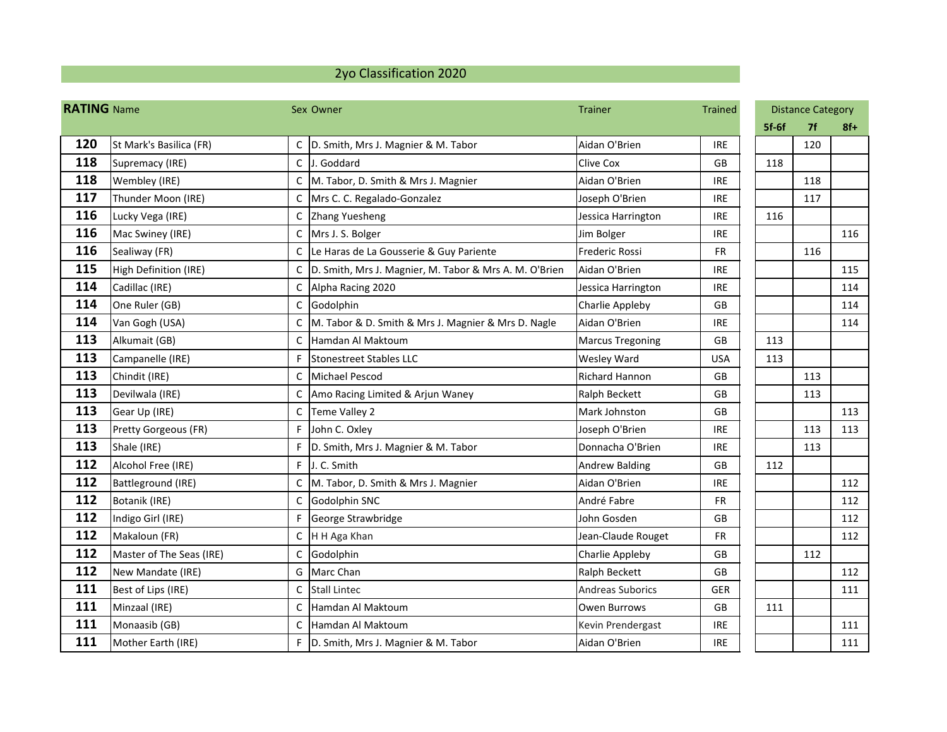## 2yo Classification 2020

| <b>RATING Name</b> |                             |              | Sex Owner                                                  | <b>Trainer</b>          | Trained    | <b>Distance Category</b> |           |       |
|--------------------|-----------------------------|--------------|------------------------------------------------------------|-------------------------|------------|--------------------------|-----------|-------|
|                    |                             |              |                                                            |                         |            | $5f-6f$                  | <b>7f</b> | $8f+$ |
| 120                | St Mark's Basilica (FR)     |              | C D. Smith, Mrs J. Magnier & M. Tabor                      | Aidan O'Brien           | <b>IRE</b> |                          | 120       |       |
| 118                | Supremacy (IRE)             | $\mathsf{C}$ | J. Goddard                                                 | <b>Clive Cox</b>        | <b>GB</b>  | 118                      |           |       |
| 118                | Wembley (IRE)               | C            | M. Tabor, D. Smith & Mrs J. Magnier                        | Aidan O'Brien           | <b>IRE</b> |                          | 118       |       |
| 117                | Thunder Moon (IRE)          | C            | Mrs C. C. Regalado-Gonzalez                                | Joseph O'Brien          | <b>IRE</b> |                          | 117       |       |
| 116                | Lucky Vega (IRE)            | C            | Zhang Yuesheng                                             | Jessica Harrington      | <b>IRE</b> | 116                      |           |       |
| 116                | Mac Swiney (IRE)            | C            | Mrs J. S. Bolger                                           | Jim Bolger              | <b>IRE</b> |                          |           | 116   |
| 116                | Sealiway (FR)               | C            | Le Haras de La Gousserie & Guy Pariente                    | Frederic Rossi          | <b>FR</b>  |                          | 116       |       |
| 115                | High Definition (IRE)       |              | C   D. Smith, Mrs J. Magnier, M. Tabor & Mrs A. M. O'Brien | Aidan O'Brien           | <b>IRE</b> |                          |           | 115   |
| 114                | Cadillac (IRE)              | $\mathsf C$  | Alpha Racing 2020                                          | Jessica Harrington      | <b>IRE</b> |                          |           | 114   |
| 114                | One Ruler (GB)              | C            | Godolphin                                                  | Charlie Appleby         | <b>GB</b>  |                          |           | 114   |
| 114                | Van Gogh (USA)              |              | M. Tabor & D. Smith & Mrs J. Magnier & Mrs D. Nagle        | Aidan O'Brien           | <b>IRE</b> |                          |           | 114   |
| 113                | Alkumait (GB)               | C            | Hamdan Al Maktoum                                          | <b>Marcus Tregoning</b> | GB         | 113                      |           |       |
| 113                | Campanelle (IRE)            |              | Stonestreet Stables LLC                                    | <b>Wesley Ward</b>      | <b>USA</b> | 113                      |           |       |
| 113                | Chindit (IRE)               | C            | Michael Pescod                                             | Richard Hannon          | <b>GB</b>  |                          | 113       |       |
| 113                | Devilwala (IRE)             | C            | Amo Racing Limited & Arjun Waney                           | Ralph Beckett           | <b>GB</b>  |                          | 113       |       |
| 113                | Gear Up (IRE)               | C            | Teme Valley 2                                              | Mark Johnston           | GB         |                          |           | 113   |
| 113                | <b>Pretty Gorgeous (FR)</b> | F            | John C. Oxley                                              | Joseph O'Brien          | <b>IRE</b> |                          | 113       | 113   |
| 113                | Shale (IRE)                 | F            | D. Smith, Mrs J. Magnier & M. Tabor                        | Donnacha O'Brien        | <b>IRE</b> |                          | 113       |       |
| 112                | Alcohol Free (IRE)          |              | F J. C. Smith                                              | <b>Andrew Balding</b>   | <b>GB</b>  | 112                      |           |       |
| 112                | Battleground (IRE)          | $\mathsf{C}$ | M. Tabor, D. Smith & Mrs J. Magnier                        | Aidan O'Brien           | <b>IRE</b> |                          |           | 112   |
| 112                | Botanik (IRE)               | C            | Godolphin SNC                                              | André Fabre             | <b>FR</b>  |                          |           | 112   |
| 112                | Indigo Girl (IRE)           | F            | George Strawbridge                                         | John Gosden             | GB         |                          |           | 112   |
| 112                | Makaloun (FR)               |              | C H H Aga Khan                                             | Jean-Claude Rouget      | <b>FR</b>  |                          |           | 112   |
| 112                | Master of The Seas (IRE)    | $\mathsf{C}$ | Godolphin                                                  | Charlie Appleby         | GB         |                          | 112       |       |
| 112                | New Mandate (IRE)           |              | G Marc Chan                                                | Ralph Beckett           | GB         |                          |           | 112   |
| 111                | Best of Lips (IRE)          | $\mathsf{C}$ | <b>Stall Lintec</b>                                        | <b>Andreas Suborics</b> | <b>GER</b> |                          |           | 111   |
| 111                | Minzaal (IRE)               | $\mathsf{C}$ | Hamdan Al Maktoum                                          | Owen Burrows            | GB         | 111                      |           |       |
| 111                | Monaasib (GB)               | C            | Hamdan Al Maktoum                                          | Kevin Prendergast       | <b>IRE</b> |                          |           | 111   |
| 111                | Mother Earth (IRE)          |              | F   D. Smith, Mrs J. Magnier & M. Tabor                    | Aidan O'Brien           | <b>IRE</b> |                          |           | 111   |